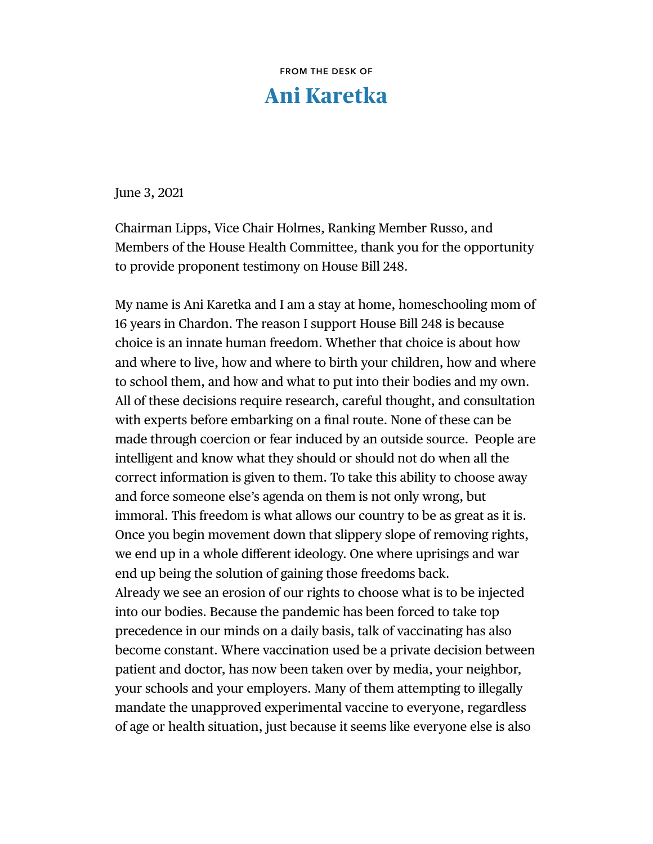**FROM THE DESK OF** 

## **Ani Karetka**

June 3, 2021

Chairman Lipps, Vice Chair Holmes, Ranking Member Russo, and Members of the House Health Committee, thank you for the opportunity to provide proponent testimony on House Bill 248.

My name is Ani Karetka and I am a stay at home, homeschooling mom of 16 years in Chardon. The reason I support House Bill 248 is because choice is an innate human freedom. Whether that choice is about how and where to live, how and where to birth your children, how and where to school them, and how and what to put into their bodies and my own. All of these decisions require research, careful thought, and consultation with experts before embarking on a final route. None of these can be made through coercion or fear induced by an outside source. People are intelligent and know what they should or should not do when all the correct information is given to them. To take this ability to choose away and force someone else's agenda on them is not only wrong, but immoral. This freedom is what allows our country to be as great as it is. Once you begin movement down that slippery slope of removing rights, we end up in a whole different ideology. One where uprisings and war end up being the solution of gaining those freedoms back. Already we see an erosion of our rights to choose what is to be injected into our bodies. Because the pandemic has been forced to take top precedence in our minds on a daily basis, talk of vaccinating has also become constant. Where vaccination used be a private decision between patient and doctor, has now been taken over by media, your neighbor, your schools and your employers. Many of them attempting to illegally mandate the unapproved experimental vaccine to everyone, regardless of age or health situation, just because it seems like everyone else is also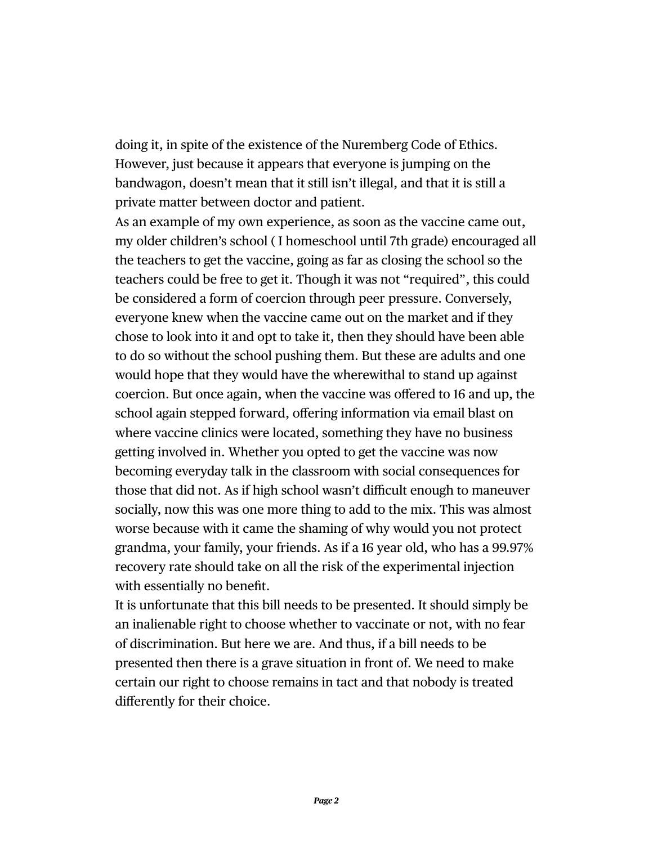doing it, in spite of the existence of the Nuremberg Code of Ethics. However, just because it appears that everyone is jumping on the bandwagon, doesn't mean that it still isn't illegal, and that it is still a private matter between doctor and patient.

As an example of my own experience, as soon as the vaccine came out, my older children's school ( I homeschool until 7th grade) encouraged all the teachers to get the vaccine, going as far as closing the school so the teachers could be free to get it. Though it was not "required", this could be considered a form of coercion through peer pressure. Conversely, everyone knew when the vaccine came out on the market and if they chose to look into it and opt to take it, then they should have been able to do so without the school pushing them. But these are adults and one would hope that they would have the wherewithal to stand up against coercion. But once again, when the vaccine was offered to 16 and up, the school again stepped forward, offering information via email blast on where vaccine clinics were located, something they have no business getting involved in. Whether you opted to get the vaccine was now becoming everyday talk in the classroom with social consequences for those that did not. As if high school wasn't difficult enough to maneuver socially, now this was one more thing to add to the mix. This was almost worse because with it came the shaming of why would you not protect grandma, your family, your friends. As if a 16 year old, who has a 99.97% recovery rate should take on all the risk of the experimental injection with essentially no benefit.

It is unfortunate that this bill needs to be presented. It should simply be an inalienable right to choose whether to vaccinate or not, with no fear of discrimination. But here we are. And thus, if a bill needs to be presented then there is a grave situation in front of. We need to make certain our right to choose remains in tact and that nobody is treated differently for their choice.